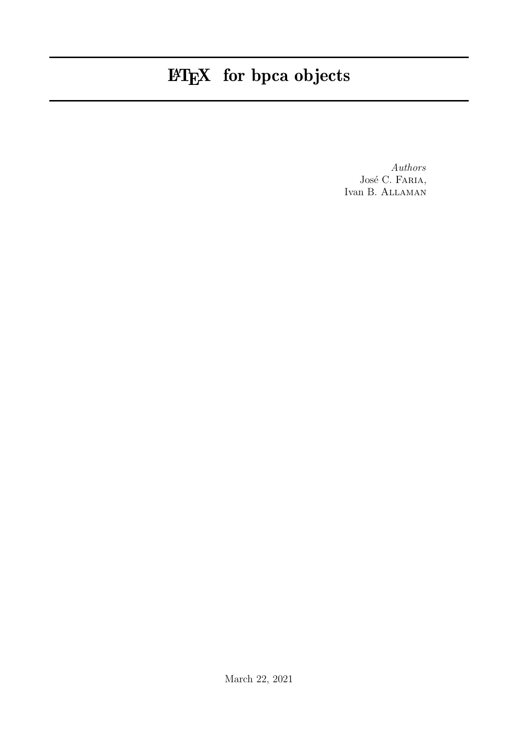# LATEX for bpca objects

Authors José C. FARIA, Ivan B. Allaman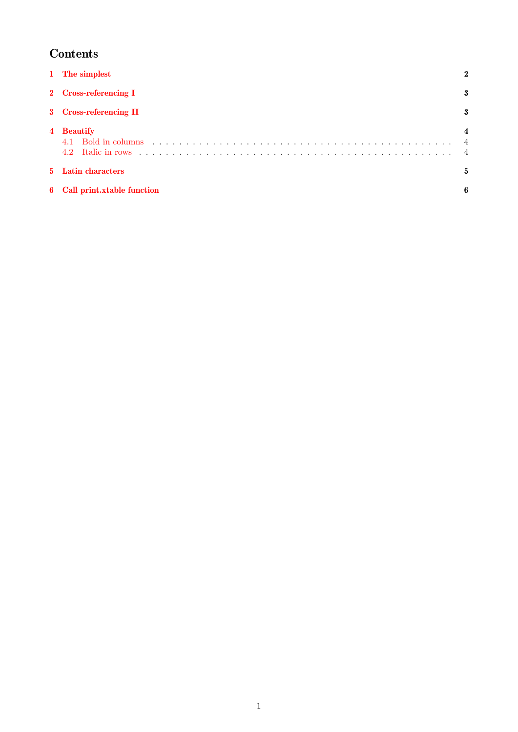## Contents

|   | 1 The simplest                                                                                                                                                                                                                                             |  |
|---|------------------------------------------------------------------------------------------------------------------------------------------------------------------------------------------------------------------------------------------------------------|--|
|   | 2 Cross-referencing I                                                                                                                                                                                                                                      |  |
|   | 3 Cross-referencing II                                                                                                                                                                                                                                     |  |
|   | 4 Beautify<br>Bold in columns response to the contract of the contract of the contract of the contract of the contract of the contract of the contract of the contract of the contract of the contract of the contract of the contract of th<br>4.1<br>4.2 |  |
|   | 5 Latin characters                                                                                                                                                                                                                                         |  |
| 6 | Call print.xtable function                                                                                                                                                                                                                                 |  |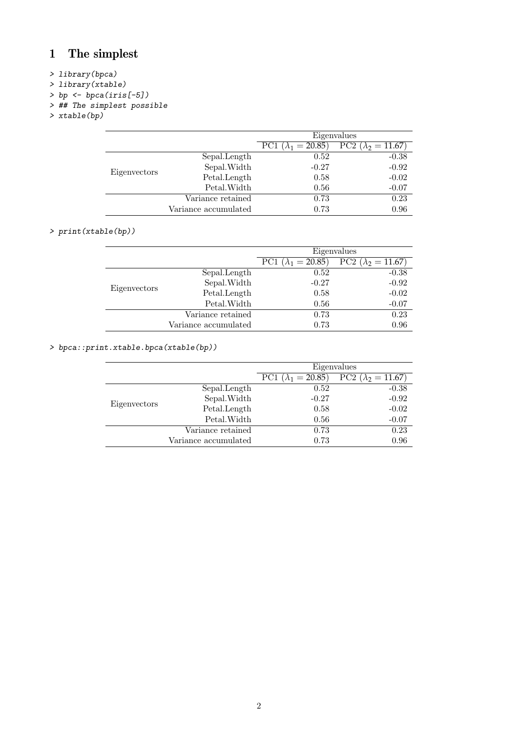# <span id="page-2-0"></span>1 The simplest

#### > library(bpca)

- > library(xtable)
- $>$  bp  $\leftarrow$  bpca(iris[-5])
- > ## The simplest possible
- > xtable(bp)

|              |                      | Eigenvalues                                                         |         |
|--------------|----------------------|---------------------------------------------------------------------|---------|
|              |                      | $\overline{PC2} (\lambda_2 = 11.67)$<br>PC1 ( $\lambda_1 = 20.85$ ) |         |
|              | Sepal.Length         | 0.52                                                                | $-0.38$ |
| Eigenvectors | Sepal.Width          | $-0.27$                                                             | $-0.92$ |
|              | Petal.Length         | 0.58                                                                | $-0.02$ |
|              | Petal. Width         | 0.56                                                                | $-0.07$ |
|              | Variance retained    | 0.73                                                                | 0.23    |
|              | Variance accumulated | 0.73                                                                | 0.96    |

#### > print(xtable(bp))

|              |                      | Eigenvalues                 |                             |
|--------------|----------------------|-----------------------------|-----------------------------|
|              |                      | PC1 ( $\lambda_1 = 20.85$ ) | PC2 ( $\lambda_2 = 11.67$ ) |
|              | Sepal.Length         | 0.52                        | $-0.38$                     |
|              | Sepal.Width          | $-0.27$                     | $-0.92$                     |
| Eigenvectors | Petal.Length         | 0.58                        | $-0.02$                     |
|              | Petal. Width         | 0.56                        | $-0.07$                     |
|              | Variance retained    | 0.73                        | 0.23                        |
|              | Variance accumulated | 0.73                        | 0.96                        |

#### > bpca::print.xtable.bpca(xtable(bp))

|                      | Eigenvalues                                                         |         |
|----------------------|---------------------------------------------------------------------|---------|
|                      | $\overline{PC2} (\lambda_2 = 11.67)$<br>PC1 ( $\lambda_1 = 20.85$ ) |         |
| Sepal.Length         | 0.52                                                                | $-0.38$ |
| Sepal.Width          | $-0.27$                                                             | $-0.92$ |
| Petal.Length         | 0.58                                                                | $-0.02$ |
| Petal. Width         | 0.56                                                                | $-0.07$ |
| Variance retained    | 0.73                                                                | 0.23    |
| Variance accumulated | 0.73                                                                | 0.96    |
|                      |                                                                     |         |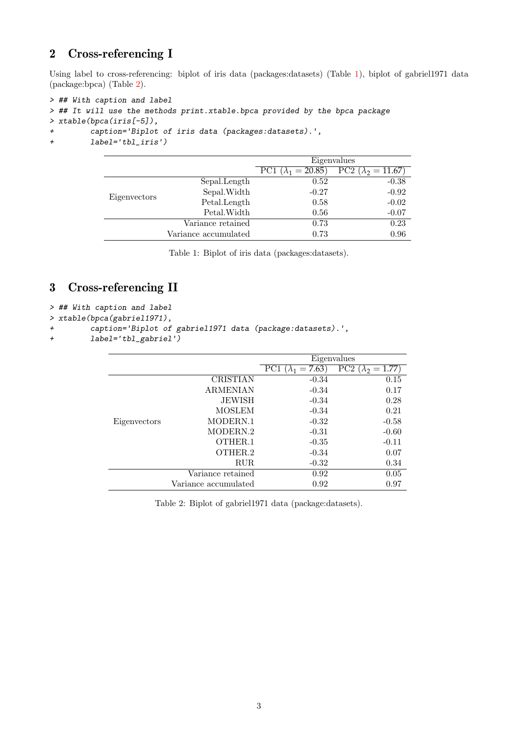## <span id="page-3-0"></span>2 Cross-referencing I

Using label to cross-referencing: biplot of iris data (packages:datasets) (Table [1\)](#page-3-2), biplot of gabriel1971 data (package:bpca) (Table [2\)](#page-3-3).

```
> ## With caption and label
> ## It will use the methods print.xtable.bpca provided by the bpca package
> xtable(bpca(iris[-5]),
+ caption='Biplot of iris data (packages:datasets).',
+ label='tbl_iris')
```

|              |                      | Eigenvalues                                            |         |
|--------------|----------------------|--------------------------------------------------------|---------|
|              |                      | PC2 $(\lambda_2 = 11.67)$<br>PC1 $(\lambda_1 = 20.85)$ |         |
|              | Sepal.Length         | 0.52                                                   | $-0.38$ |
|              | Sepal.Width          | $-0.27$                                                | $-0.92$ |
| Eigenvectors | Petal.Length         | 0.58                                                   | $-0.02$ |
|              | Petal. Width         | 0.56                                                   | $-0.07$ |
|              | Variance retained    | 0.73                                                   | 0.23    |
|              | Variance accumulated | 0.73                                                   | 0.96    |

<span id="page-3-2"></span>Table 1: Biplot of iris data (packages:datasets).

## <span id="page-3-1"></span>3 Cross-referencing II

```
> ## With caption and label
```

```
> xtable(bpca(gabriel1971),
```

```
+ caption='Biplot of gabriel1971 data (package:datasets).',
```
+ label='tbl\_gabriel')

|              |                      | Eigenvalues                                               |         |
|--------------|----------------------|-----------------------------------------------------------|---------|
|              |                      | PC2<br>PC1 ( $\lambda_1 = 7.63$ )<br>$(\lambda_2 = 1.77)$ |         |
|              | <b>CRISTIAN</b>      | $-0.34$                                                   | 0.15    |
|              | <b>ARMENIAN</b>      | $-0.34$                                                   | 0.17    |
|              | <b>JEWISH</b>        | $-0.34$                                                   | 0.28    |
|              | <b>MOSLEM</b>        | $-0.34$                                                   | 0.21    |
| Eigenvectors | MODERN.1             | $-0.32$                                                   | $-0.58$ |
|              | MODERN.2             | $-0.31$                                                   | $-0.60$ |
|              | OTHER.1              | $-0.35$                                                   | $-0.11$ |
|              | OTHER <sub>2</sub>   | $-0.34$                                                   | 0.07    |
|              | <b>RUR</b>           | $-0.32$                                                   | 0.34    |
|              | Variance retained    | 0.92                                                      | 0.05    |
|              | Variance accumulated | 0.92                                                      | 0.97    |

<span id="page-3-3"></span>Table 2: Biplot of gabriel1971 data (package:datasets).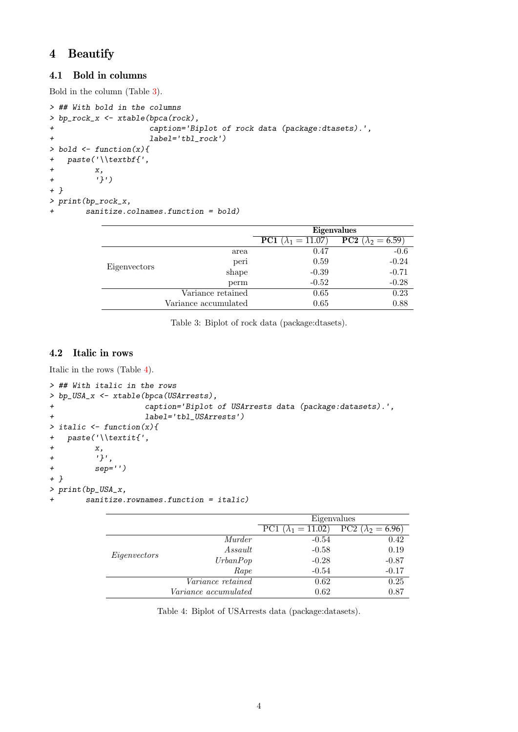## <span id="page-4-0"></span>4 Beautify

#### <span id="page-4-1"></span>4.1 Bold in columns

Bold in the column (Table [3\)](#page-4-3).

```
> ## With bold in the columns
> bp_rock_x <- xtable(bpca(rock),
+ caption='Biplot of rock data (package:dtasets).',
+ label='tbl_rock')
> bold \leq function(x){
+ paste('\\textbf{',
+ x,
+ '}')
+ }
> print(bp_rock_x,
+ sanitize.colnames.function = bold)
```

|              |                      | Eigenvalues                        |                                   |
|--------------|----------------------|------------------------------------|-----------------------------------|
|              |                      | <b>PC1</b> ( $\lambda_1 = 11.07$ ) | <b>PC2</b> ( $\lambda_2 = 6.59$ ) |
|              | area                 | 0.47                               | $-0.6$                            |
| Eigenvectors | peri                 | 0.59                               | $-0.24$                           |
|              | shape                | $-0.39$                            | $-0.71$                           |
|              | perm                 | $-0.52$                            | $-0.28$                           |
|              | Variance retained    | 0.65                               | 0.23                              |
|              | Variance accumulated | 0.65                               | 0.88                              |

<span id="page-4-3"></span>Table 3: Biplot of rock data (package:dtasets).

#### <span id="page-4-2"></span>4.2 Italic in rows

Italic in the rows (Table [4\)](#page-4-4).

```
> ## With italic in the rows
> bp_USA_x <- xtable(bpca(USArrests),
+ caption='Biplot of USArrests data (package:datasets).',
+ label='tbl_USArrests')
> italic \leq function(x){
+ paste('\\textit{',
+ x,
+ '}',
+ sep='')
+ }
> print(bp_USA_x,
+ sanitize.rownames.function = italic)
```

|              |                             | Eigenvalues                 |                                     |  |
|--------------|-----------------------------|-----------------------------|-------------------------------------|--|
|              |                             | PC1 ( $\lambda_1 = 11.02$ ) | $\overline{PC2} (\lambda_2 = 6.96)$ |  |
|              | Murder                      | $-0.54$                     | 0.42                                |  |
| Eigenvectors | Assault                     | $-0.58$                     | 0.19                                |  |
|              | UrbanPop                    | $-0.28$                     | $-0.87$                             |  |
|              | Rape                        | $-0.54$                     | $-0.17$                             |  |
|              | <i>Variance retained</i>    | 0.62                        | 0.25                                |  |
|              | <i>Variance accumulated</i> | 0.62                        | 0.87                                |  |

<span id="page-4-4"></span>Table 4: Biplot of USArrests data (package:datasets).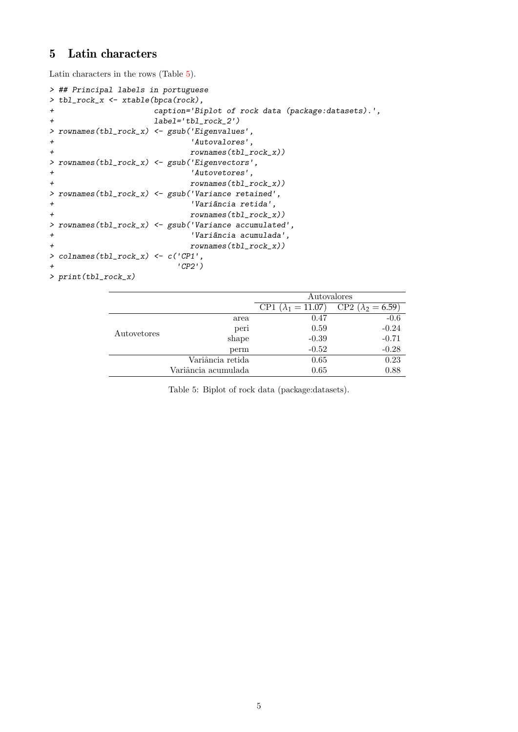#### <span id="page-5-0"></span>5 Latin characters

Latin characters in the rows (Table [5\)](#page-5-1).

```
> ## Principal labels in portuguese
> tbl_rock_x <- xtable(bpca(rock),
+ caption='Biplot of rock data (package:datasets).',
+ label='tbl_rock_2')
> rownames(tbl_rock_x) <- gsub('Eigenvalues',
+ 'Autovalores',
+ rownames(tbl_rock_x))
> rownames(tbl_rock_x) <- gsub('Eigenvectors',
+ 'Autovetores',
+ rownames(tbl_rock_x))
> rownames(tbl_rock_x) <- gsub('Variance retained',
+ 'Vari^ancia retida',
+ rownames(tbl_rock_x))
> rownames(tbl_rock_x) <- gsub('Variance accumulated',
+ 'Vari^ancia acumulada',
+ rownames(tbl_rock_x))
> colnames(tbl_rock_x) <- c('CP1',
                   + 'CP2')
> print(tbl_rock_x)
```

|             |                     | Autovalores                                                         |         |
|-------------|---------------------|---------------------------------------------------------------------|---------|
|             |                     | $\overline{CP2} (\lambda_2 = 6.59)$<br>$(\lambda_1 = 11.07)$<br>CP1 |         |
|             | area                | 0.47                                                                | $-0.6$  |
| Autovetores | peri                | 0.59                                                                | $-0.24$ |
|             | shape               | $-0.39$                                                             | $-0.71$ |
|             | perm                | $-0.52$                                                             | $-0.28$ |
|             | Variância retida    | 0.65                                                                | 0.23    |
|             | Variância acumulada | 0.65                                                                | 0.88    |

<span id="page-5-1"></span>Table 5: Biplot of rock data (package:datasets).